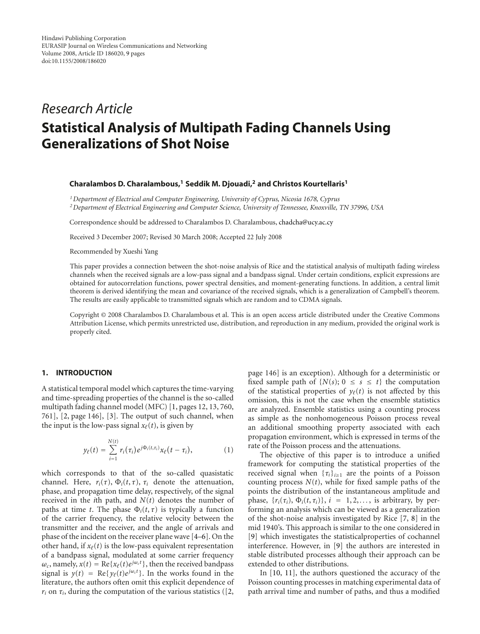# *Research Article* **Statistical Analysis of Multipath Fading Channels Using Generalizations of Shot Noise**

## **Charalambos D. Charalambous,1 Seddik M. Djouadi,2 and Christos Kourtellaris1**

*1Department of Electrical and Computer Engineering, University of Cyprus, Nicosia 1678, Cyprus 2Department of Electrical Engineering and Computer Science, University of Tennessee, Knoxville, TN 37996, USA*

Correspondence should be addressed to Charalambos D. Charalambous, chadcha@ucy.ac.cy

Received 3 December 2007; Revised 30 March 2008; Accepted 22 July 2008

Recommended by Xueshi Yang

This paper provides a connection between the shot-noise analysis of Rice and the statistical analysis of multipath fading wireless channels when the received signals are a low-pass signal and a bandpass signal. Under certain conditions, explicit expressions are obtained for autocorrelation functions, power spectral densities, and moment-generating functions. In addition, a central limit theorem is derived identifying the mean and covariance of the received signals, which is a generalization of Campbell's theorem. The results are easily applicable to transmitted signals which are random and to CDMA signals.

Copyright © 2008 Charalambos D. Charalambous et al. This is an open access article distributed under the Creative Commons Attribution License, which permits unrestricted use, distribution, and reproduction in any medium, provided the original work is properly cited.

#### **1. INTRODUCTION**

A statistical temporal model which captures the time-varying and time-spreading properties of the channel is the so-called multipath fading channel model (MFC) [1, pages 12, 13, 760, 761], [2, page 146], [3]. The output of such channel, when the input is the low-pass signal  $x_{\ell}(t)$ , is given by

$$
y_{\ell}(t) = \sum_{i=1}^{N(t)} r_i(\tau_i) e^{j\Phi_i(t,\tau_i)} x_{\ell}(t-\tau_i), \qquad (1)
$$

which corresponds to that of the so-called quasistatic channel. Here,  $r_i(\tau)$ ,  $\Phi_i(t, \tau)$ ,  $\tau_i$  denote the attenuation, phase, and propagation time delay, respectively, of the signal received in the *i*th path, and *N*(*t*) denotes the number of paths at time *t*. The phase  $\Phi_i(t, \tau)$  is typically a function of the carrier frequency, the relative velocity between the transmitter and the receiver, and the angle of arrivals and phase of the incident on the receiver plane wave [4–6]. On the other hand, if  $x_{\ell}(t)$  is the low-pass equivalent representation of a bandpass signal, modulated at some carrier frequency  $\omega_c$ , namely,  $x(t) = \text{Re}\{x_\ell(t)e^{j\omega_c t}\}$ , then the received bandpass signal is  $y(t) = \text{Re}\{y_{\ell}(t)e^{j\omega_{\ell}t}\}\.$  In the works found in the literature, the authors often omit this explicit dependence of  $r_i$  on  $\tau_i$ , during the computation of the various statistics ([2, page 146] is an exception). Although for a deterministic or fixed sample path of  $\{N(s); 0 \le s \le t\}$  the computation of the statistical properties of  $y_{\ell}(t)$  is not affected by this omission, this is not the case when the ensemble statistics are analyzed. Ensemble statistics using a counting process as simple as the nonhomogeneous Poisson process reveal an additional smoothing property associated with each propagation environment, which is expressed in terms of the rate of the Poisson process and the attenuations.

The objective of this paper is to introduce a unified framework for computing the statistical properties of the received signal when  $\{\tau_i\}_{i\geq 1}$  are the points of a Poisson counting process  $N(t)$ , while for fixed sample paths of the points the distribution of the instantaneous amplitude and phase,  $\{r_i(\tau_i), \Phi_i(t, \tau_i)\}, i = 1, 2, \ldots$ , is arbitrary, by performing an analysis which can be viewed as a generalization of the shot-noise analysis investigated by Rice [7, 8] in the mid 1940's. This approach is similar to the one considered in [9] which investigates the statisticalproperties of cochannel interference. However, in [9] the authors are interested in stable distributed processes although their approach can be extended to other distributions.

In [10, 11], the authors questioned the accuracy of the Poisson counting processes in matching experimental data of path arrival time and number of paths, and thus a modified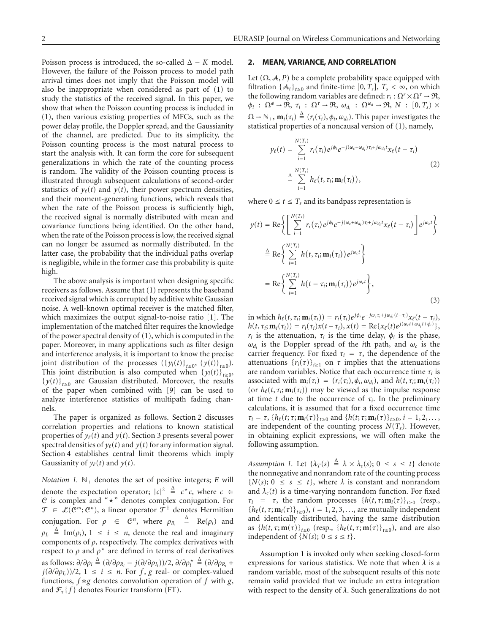Poisson process is introduced, the so-called  $\Delta - K$  model. However, the failure of the Poisson process to model path arrival times does not imply that the Poisson model will also be inappropriate when considered as part of (1) to study the statistics of the received signal. In this paper, we show that when the Poisson counting process is included in (1), then various existing properties of MFCs, such as the power delay profile, the Doppler spread, and the Gaussianity of the channel, are predicted. Due to its simplicity, the Poisson counting process is the most natural process to start the analysis with. It can form the core for subsequent generalizations in which the rate of the counting process is random. The validity of the Poisson counting process is illustrated through subsequent calculations of second-order statistics of  $y_{\ell}(t)$  and  $y(t)$ , their power spectrum densities, and their moment-generating functions, which reveals that when the rate of the Poisson process is sufficiently high, the received signal is normally distributed with mean and covariance functions being identified. On the other hand, when the rate of the Poisson process is low, the received signal can no longer be assumed as normally distributed. In the latter case, the probability that the individual paths overlap is negligible, while in the former case this probability is quite high.

The above analysis is important when designing specific receivers as follows. Assume that (1) represents the baseband received signal which is corrupted by additive white Gaussian noise. A well-known optimal receiver is the matched filter, which maximizes the output signal-to-noise ratio [1]. The implementation of the matched filter requires the knowledge of the power spectral density of (1), which is computed in the paper. Moreover, in many applications such as filter design and interference analysis, it is important to know the precise joint distribution of the processes  $({y_l(t)}_{t\ge0}, {y(t)}_{t\ge0}).$ This joint distribution is also computed when  $\{y_l(t)\}_{t>0}$ ,  ${y(t)}_{t>0}$  are Gaussian distributed. Moreover, the results of the paper when combined with [9] can be used to analyze interference statistics of multipath fading channels.

The paper is organized as follows. Section 2 discusses correlation properties and relations to known statistical properties of  $y_{\ell}(t)$  and  $y(t)$ . Section 3 presents several power spectral densities of  $y_{\ell}(t)$  and  $y(t)$  for any information signal. Section 4 establishes central limit theorems which imply Gaussianity of  $y_{\ell}(t)$  and  $y(t)$ .

*Notation 1.*  $\mathbb{N}_+$  denotes the set of positive integers; *E* will denote the expectation operator;  $|c|^2 \triangleq c^* c$ , where  $c \in$ C is complex and "*-*" denotes complex conjugation. For  $\mathcal{T} \in \mathcal{L}(\mathcal{C}^m; \mathcal{C}^n)$ , a linear operator  $\mathcal{T}^{\dagger}$  denotes Hermitian conjugation. For  $\rho \in \mathbb{C}^n$ , where  $\rho_{R_i} \triangleq \text{Re}(\rho_i)$  and  $\rho_{I_i} \triangleq \text{Im}(\rho_i), 1 \leq i \leq n$ , denote the real and imaginary components of *ρ*, respectively. The complex derivatives with respect to  $\rho$  and  $\rho^*$  are defined in terms of real derivatives  $\partial/\partial \rho_i \stackrel{\Delta}{=} (\partial/\partial \rho_{R_i} - j(\partial/\partial \rho_{I_i}))/2, \partial/\partial \rho_i^*$ Δ = (*∂/∂ρRi* + *j*( $\partial/\partial \rho$ <sub>*Ii*</sub></sub>))/2, 1 ≤ *i* ≤ *n*. For *f*, *g* real- or complex-valued functions, *f* ∗*g* denotes convolution operation of *f* with *g*, and  $\mathcal{F}_{\tau} \{ f \}$  denotes Fourier transform (FT).

## **2. MEAN, VARIANCE, AND CORRELATION**

Let  $(\Omega, \mathcal{A}, P)$  be a complete probability space equipped with filtration  $\{A_t\}_{t\geq0}$  and finite-time  $[0, T_s]$ ,  $T_s < \infty$ , on which the following random variables are defined:  $r_i : \Omega^r \times \Omega^{\tau} \to \mathfrak{R}$ ,  $\phi_i$  :  $\Omega^{\phi} \to \Re, \tau_i$  :  $\Omega^{\tau} \to \Re, \omega_{d_i}$  :  $\Omega^{\omega_d} \to \Re, N$  :  $[0, T_s) \times$  $\Omega \rightarrow \mathbb{N}_+$ ,  $\mathbf{m}_i(\tau_i) \triangleq (r_i(\tau_i), \phi_i, \omega_{d_i})$ . This paper investigates the statistical properties of a noncausal version of (1), namely,

$$
y_{\ell}(t) = \sum_{i=1}^{N(T_s)} r_i(\tau_i) e^{j\phi_i} e^{-j(\omega_c + \omega_{d_i})\tau_i + j\omega_{d_i}t} x_{\ell}(t - \tau_i)
$$
  

$$
\triangleq \sum_{i=1}^{N(T_s)} h_{\ell}(t, \tau_i; \mathbf{m}_i(\tau_i)),
$$
 (2)

where  $0 \le t \le T_s$  and its bandpass representation is

$$
y(t) = \text{Re}\left\{\left[\sum_{i=1}^{N(T_s)} r_i(\tau_i)e^{j\phi_i}e^{-j(\omega_c + \omega_{d_i})\tau_i + j\omega_{d_i}t}\mathbf{x}_{\ell}(t-\tau_i)\right]e^{j\omega_c t}\right\}
$$
  

$$
\stackrel{\Delta}{=} \text{Re}\left\{\sum_{i=1}^{N(T_s)} h(t,\tau_i;\mathbf{m}_i(\tau_i))e^{j\omega_c t}\right\}
$$
  

$$
= \text{Re}\left\{\sum_{i=1}^{N(T_s)} h(t-\tau_i;\mathbf{m}_i(\tau_i))e^{j\omega_c t}\right\},
$$
 (3)

 $\text{in which } h_{\ell}(t, \tau_i; \mathbf{m}_i(\tau_i)) = r_i(\tau_i) e^{j\phi_i} e^{-j\omega_c \tau_i + j\omega_{d_i}(t - \tau_i)} x_{\ell}(t - \tau_i),$  $h(t, \tau_i; \mathbf{m}_i(\tau_i)) = r_i(\tau_i)x(t - \tau_i), x(t) = \text{Re}\{x_{\ell}(t)e^{j(\omega_c t + \omega_{d_i} t + \phi_i)}\},$ *r<sub>i</sub>* is the attenuation,  $τ_i$  is the time delay,  $φ_i$  is the phase,  $\omega_{d_i}$  is the Doppler spread of the *i*th path, and  $\omega_c$  is the carrier frequency. For fixed  $\tau_i = \tau$ , the dependence of the attenuations  $\{r_i(\tau)\}_{i>1}$  on  $\tau$  implies that the attenuations are random variables. Notice that each occurrence time  $\tau_i$  is associated with  $\mathbf{m}_i(\tau_i) = (r_i(\tau_i), \phi_i, \omega_{d_i})$ , and  $h(t, \tau_i; \mathbf{m}_i(\tau_i))$ (or  $h_{\ell}(t, \tau_i; \mathbf{m}_i(\tau_i))$  may be viewed as the impulse response at time *t* due to the occurrence of  $\tau_i$ . In the preliminary calculations, it is assumed that for a fixed occurrence time  $\tau_i = \tau$ ,  $\{h_\ell(t; \tau; \mathbf{m}_i(\tau)\}_{t \geq 0}$  and  $\{h(t; \tau; \mathbf{m}_i(\tau)\}_{t \geq 0}, i = 1, 2, \ldots,$ are independent of the counting process  $N(T_s)$ . However, in obtaining explicit expressions, we will often make the following assumption.

*Assumption 1.* Let  $\{\lambda_T(s) \triangleq \lambda \times \lambda_c(s); 0 \leq s \leq t\}$  denote the nonnegative and nonrandom rate of the counting process  ${N(s)}$ ;  $0 \le s \le t$ , where  $\lambda$  is constant and nonrandom and  $\lambda_c(t)$  is a time-varying nonrandom function. For fixed  $\tau_i$  = *τ*, the random processes  $\{h(t, \tau; \mathbf{m}_i(\tau)\}_{t>0}$  (resp.,  ${h_{\ell}(t, \tau; \mathbf{m}_i(\tau))}_{t \geq 0}, i = 1, 2, 3, \ldots$ , are mutually independent and identically distributed, having the same distribution as  ${h(t, \tau; \mathbf{m}(\tau))}_{t \ge 0}$  (resp.,  ${h_{\ell}(t, \tau; \mathbf{m}(\tau))}_{t \ge 0}$ ), and are also independent of  $\{N(s); 0 \le s \le t\}.$ 

Assumption 1 is invoked only when seeking closed-form expressions for various statistics. We note that when *λ* is a random variable, most of the subsequent results of this note remain valid provided that we include an extra integration with respect to the density of *λ*. Such generalizations do not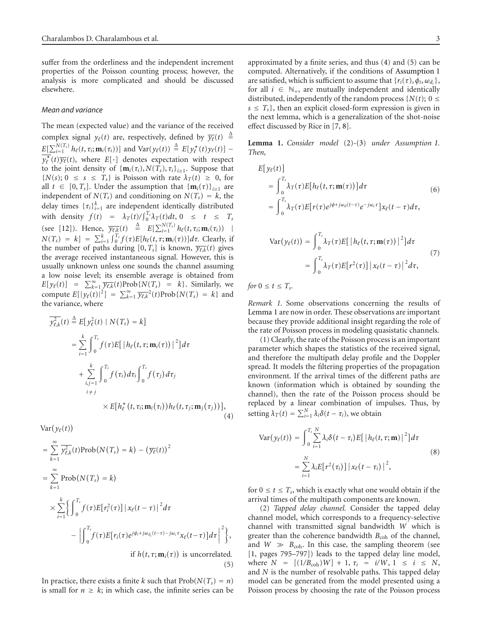suffer from the orderliness and the independent increment properties of the Poisson counting process; however, the analysis is more complicated and should be discussed elsewhere.

#### *Mean and variance*

The mean (expected value) and the variance of the received complex signal  $y_{\ell}(t)$  are, respectively, defined by  $\overline{y_{\ell}}(t) \stackrel{\Delta}{=}$  $E[\sum_{i=1}^{N(T_s)} h_{\ell}(t, \tau_i; \mathbf{m}_i(\tau_i))]$  and  $Var(y_{\ell}(t)) \triangleq E[y_{\ell}^*(t)y_{\ell}(t)]$  $y_{\ell}^{\star}(t) \overline{y_{\ell}}(t)$ , where  $E[\cdot]$  denotes expectation with respect to the joint density of  $\{\mathbf{m}_i(\tau_i), N(T_s), \tau_i\}_{i>1}$ . Suppose that  $\{N(s); 0 \le s \le T_s\}$  is Poisson with rate  $\lambda_T(t) \ge 0$ , for all  $t \in [0, T_s]$ . Under the assumption that  ${\{\mathbf{m}_i(\tau)\}}_{i \geq 1}$  are independent of  $N(T_s)$  and conditioning on  $N(T_s) = k$ , the delay times  $\{\tau_i\}_{i=1}^k$  are independent identically distributed with density  $f(t) = \lambda_T(t)/\int_0^{T_s} \lambda_T(t)dt$ ,  $0 \le t \le T_s$ (see [12]). Hence,  $\overline{y_{\ell,k}(t)} \triangleq E[\sum_{i=1}^{N(T_s)} h_{\ell}(t, \tau_i; \mathbf{m}_i(\tau_i))$  |  $N(T_s) = k$ ] =  $\sum_{i=1}^{k} \int_{0}^{T_s} f(\tau) E[h_{\ell}(t, \tau; \mathbf{m}_i(\tau))] d\tau$ . Clearly, if the number of paths during  $[0, T_s]$  is known,  $\overline{y_{\ell,k}}(t)$  gives the average received instantaneous signal. However, this is usually unknown unless one sounds the channel assuming a low noise level; its ensemble average is obtained from  $E[y_{\ell}(t)] = \sum_{k=1}^{\infty} \overline{y_{\ell,k}}(t) \text{Prob}\{N(T_s) = k\}.$  Similarly, we compute  $E[|y_{\ell}(t)|^2] = \sum_{k=1}^{\infty} \overline{y_{\ell,k}}^2(t) \text{Prob}\{N(T_s) = k\}$  and the variance, where

$$
\overline{y_{\ell,k}^2}(t) \triangleq E[y_\ell^2(t) | N(T_s) = k]
$$
\n
$$
= \sum_{i=1}^k \int_0^{T_s} f(\tau) E[ |h_\ell(t, \tau; \mathbf{m}_i(\tau))|^2 ] d\tau
$$
\n
$$
+ \sum_{\substack{i,j=1 \ i \neq j}}^k \int_0^{T_s} f(\tau_i) d\tau_j \int_0^{T_s} f(\tau_j) d\tau_j
$$
\n
$$
\times E[h_\ell^*(t, \tau_i; \mathbf{m}_i(\tau_i)) h_\ell(t, \tau_j; \mathbf{m}_j(\tau_j)) ],
$$
\n(4)

 $Var(y_\ell(t))$ 

$$
= \sum_{k=1}^{\infty} \overline{y_{\ell,k}^2}(t) \operatorname{Prob}(N(T_s) = k) - (\overline{y_{\ell}}(t))^2
$$
  
\n
$$
= \sum_{k=1}^{\infty} \operatorname{Prob}(N(T_s) = k)
$$
  
\n
$$
\times \sum_{i=1}^{k} \left\{ \int_0^{T_s} f(\tau) E[r_i^2(\tau)] |x_{\ell}(t-\tau)|^2 d\tau - \left| \int_0^{T_s} f(\tau) E[r_i(\tau) e^{j\phi_i + j\omega_{d_i}(t-\tau) - j\omega_c \tau} x_{\ell}(t-\tau)] d\tau \right|^2 \right\},\
$$
  
\nif  $h(t, \tau; \mathbf{m}_i(\tau))$  is uncorrelated. (5)

In practice, there exists a finite *k* such that  $Prob(N(T_s) = n)$ is small for  $n \geq k$ ; in which case, the infinite series can be approximated by a finite series, and thus (4) and (5) can be computed. Alternatively, if the conditions of Assumption 1 are satisfied, which is sufficient to assume that  $\{r_i(\tau), \phi_i, \omega_d\}$ , for all  $i \in \mathbb{N}_+$ , are mutually independent and identically distributed, independently of the random process  $\{N(t)\}\ 0 \leq$  $s \leq T_s$ , then an explicit closed-form expression is given in the next lemma, which is a generalization of the shot-noise effect discussed by Rice in [7, 8].

**Lemma 1.** *Consider model* (2)*-*(3) *under Assumption 1. Then,*

$$
E[y_{\ell}(t)]
$$
\n
$$
= \int_{0}^{T_s} \lambda_T(\tau) E[h_{\ell}(t, \tau; \mathbf{m}(\tau))] d\tau
$$
\n
$$
= \int_{0}^{T_s} \lambda_T(\tau) E[r(\tau) e^{j\phi + j\omega_d(t-\tau)} e^{-j\omega_c \tau}] x_{\ell}(t-\tau) d\tau,
$$
\n
$$
Var(y_{\ell}(t)) = \int_{0}^{T_s} \lambda_T(\tau) E[ |h_{\ell}(t, \tau; \mathbf{m}(\tau))|^2 ] d\tau
$$
\n
$$
= \int_{0}^{T_s} \lambda_T(\tau) E[r^2(\tau)] |x_{\ell}(t-\tau)|^2 d\tau,
$$
\n(7)

*for*  $0 \le t \le T_s$ *.* 

*Remark 1.* Some observations concerning the results of Lemma 1 are now in order. These observations are important because they provide additional insight regarding the role of the rate of Poisson process in modeling quasistatic channels.

(1) Clearly, the rate of the Poisson process is an important parameter which shapes the statistics of the received signal, and therefore the multipath delay profile and the Doppler spread. It models the filtering properties of the propagation environment. If the arrival times of the different paths are known (information which is obtained by sounding the channel), then the rate of the Poisson process should be replaced by a linear combination of impulses. Thus, by setting  $\lambda_T(t) = \sum_{i=1}^N \lambda_i \delta(t - \tau_i)$ , we obtain

$$
\operatorname{Var}(y_{\ell}(t)) = \int_0^{T_s} \sum_{i=1}^N \lambda_i \delta(t - \tau_i) E[ |h_{\ell}(t, \tau; \mathbf{m})|^2 ] d\tau
$$
  

$$
= \sum_{i=1}^N \lambda_i E[r^2(\tau_i)] |x_{\ell}(t - \tau_i)|^2,
$$
 (8)

for  $0 \le t \le T_s$ , which is exactly what one would obtain if the arrival times of the multipath components are known.

(2) *Tapped delay channel.* Consider the tapped delay channel model, which corresponds to a frequency-selective channel with transmitted signal bandwidth *W* which is greater than the coherence bandwidth *B*<sub>coh</sub> of the channel, and  $W \gg B_{\rm coh}$ . In this case, the sampling theorem (see [1, pages 795–797]) leads to the tapped delay line model, where  $N = [(1/B_{\text{coh}})W] + 1, \tau_i = i/W, 1 \le i \le N$ , and *N* is the number of resolvable paths. This tapped delay model can be generated from the model presented using a Poisson process by choosing the rate of the Poisson process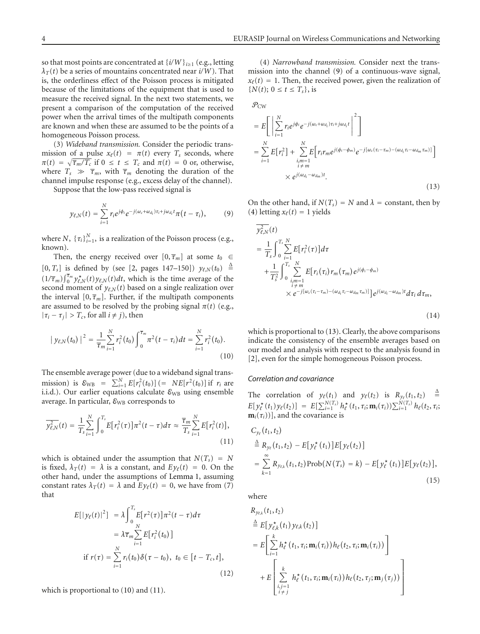so that most points are concentrated at  $\{i/W\}_{i\geq 1}$  (e.g., letting  $\lambda_T(t)$  be a series of mountains concentrated near *i/W*). That is, the orderliness effect of the Poisson process is mitigated because of the limitations of the equipment that is used to measure the received signal. In the next two statements, we present a comparison of the computation of the received power when the arrival times of the multipath components are known and when these are assumed to be the points of a homogeneous Poisson process.

(3) *Wideband transmission.* Consider the periodic transmission of a pulse  $x_{\ell}(t) = \pi(t)$  every  $T_s$  seconds, where  $\pi(t) = \sqrt{\overline{\tau}_m / T_c}$  if  $0 \le t \le T_c$  and  $\pi(t) = 0$  or, otherwise, where  $T_s \gg \overline{\tau}_m$ , with  $\overline{\tau}_m$  denoting the duration of the channel impulse response (e.g., excess delay of the channel).

Suppose that the low-pass received signal is

$$
y_{\ell,N}(t) = \sum_{i=1}^N r_i e^{j\phi_i} e^{-j(\omega_c + \omega_{d_i})\tau_i + j\omega_{d_i}t} \pi(t - \tau_i), \qquad (9)
$$

where *N*,  $\{\tau_i\}_{i=1}^N$ , is a realization of the Poisson process (e.g., known).

Then, the energy received over  $[0, \overline{\tau}_m]$  at some  $t_0 \in$  $[0, T_s]$  is defined by (see [2, pages 147–150])  $y_{\ell,N}(t_0) \triangleq$  $(1/\overline{\tau}_m) \int_0^{\overline{\tau}_m} y_{\ell,N}^{\star}(t) y_{\ell,N}(t) dt$ , which is the time average of the second moment of  $y_{\ell,N}(t)$  based on a single realization over the interval  $[0, \overline{\tau}_m]$ . Further, if the multipath components are assumed to be resolved by the probing signal  $\pi(t)$  (e.g.,  $|\tau_i - \tau_j| > T_c$ , for all  $i \neq j$ ), then

$$
|y_{\ell,N}(t_0)|^2 = \frac{1}{\overline{\tau}_m} \sum_{i=1}^N r_i^2(t_0) \int_0^{\overline{\tau}_m} \pi^2(t-\tau_i) dt = \sum_{i=1}^N r_i^2(t_0).
$$
\n(10)

The ensemble average power (due to a wideband signal transmission) is  $\mathcal{E}_{WB} = \sum_{i=1}^{N} E[r_i^2(t_0)] (= NE[r^2(t_0)]$  if  $r_i$  are i.i.d.). Our earlier equations calculate  $\varepsilon_{\text{WB}}$  using ensemble average. In particular,  $\varepsilon_{\rm WB}$  corresponds to

$$
\overline{y_{\ell,N}^2}(t) = \frac{1}{T_s} \sum_{i=1}^N \int_0^{T_s} E[r_i^2(\tau)] \pi^2(t-\tau) d\tau \approx \frac{\overline{\tau}_m}{T_s} \sum_{i=1}^N E[r_i^2(t)],
$$
\n(11)

which is obtained under the assumption that  $N(T_s) = N$ is fixed,  $\lambda_T(t) = \lambda$  is a constant, and  $E y_\ell(t) = 0$ . On the other hand, under the assumptions of Lemma 1, assuming constant rates  $\lambda_T(t) = \lambda$  and  $E y_\ell(t) = 0$ , we have from (7) that

$$
E[|y_{\ell}(t)|^{2}] = \lambda \int_{0}^{T_{s}} E[r^{2}(\tau)] \pi^{2}(t-\tau) d\tau
$$
  
\n
$$
= \lambda \overline{\tau}_{m} \sum_{i=1}^{N} E[r_{i}^{2}(t_{0})]
$$
  
\nif  $r(\tau) = \sum_{i=1}^{N} r_{i}(t_{0}) \delta(\tau - t_{0}), t_{0} \in [t - T_{c}, t],$  (12)

which is proportional to (10) and (11).

(4) *Narrowband transmission.* Consider next the transmission into the channel (9) of a continuous-wave signal,  $x_{\ell}(t) = 1$ . Then, the received power, given the realization of  ${N(t)$ ;  $0 \le t \le T_s$ , is

$$
\mathcal{P}_{CW} = E\left[\left|\sum_{i=1}^{N} r_i e^{j\phi_i} e^{-j(\omega_c + \omega_{d_i})\tau_i + j\omega_{d_i}t}\right|^2\right]
$$
  
\n
$$
= \sum_{i=1}^{N} E[r_i^2] + \sum_{\substack{i,m=1 \ i \neq m}}^{N} E[r_i r_m e^{j(\phi_i - \phi_m)} e^{-j[\omega_c(\tau_i - \tau_m) - (\omega_{d_i} \tau_i - \omega_{dm} \tau_m)]}]
$$
  
\n
$$
\times e^{j(\omega_{d_i} - \omega_{dm})t}.
$$
\n(13)

On the other hand, if  $N(T_s) = N$  and  $\lambda$  = constant, then by (4) letting  $x_{\ell}(t) = 1$  yields

$$
y_{\ell,N}^{2}(t) = \frac{1}{T_{s}} \int_{0}^{T_{s}} \sum_{i=1}^{N} E[r_{i}^{2}(\tau)] d\tau + \frac{1}{T_{s}^{2}} \int_{0}^{T_{s}} \sum_{\substack{i,m=1 \ i \neq m}}^{N} E[r_{i}(\tau_{i}) r_{m}(\tau_{m}) e^{j(\phi_{i} - \phi_{m})} \times e^{-j[\omega_{c}(\tau_{i} - \tau_{m}) - (\omega_{d_{i}} \tau_{i} - \omega_{dm} \tau_{m})]} e^{j(\omega_{d_{i}} - \omega_{dm}) t} d\tau_{i} d\tau_{m},
$$
\n(14)

which is proportional to (13). Clearly, the above comparisons indicate the consistency of the ensemble averages based on our model and analysis with respect to the analysis found in [2], even for the simple homogeneous Poisson process.

## *Correlation and covariance*

The correlation of  $y_{\ell}(t_1)$  and  $y_{\ell}(t_2)$  is  $R_{y_{\ell}}(t_1, t_2) =$  $\triangleq$  $E[y_{\ell}^{\star}(t_1)y_{\ell}(t_2)] = E[\sum_{i=1}^{N(T_s)}h_{\ell}^{\star}(t_1,\tau_i;\mathbf{m}_i(\tau_i))\sum_{i=1}^{N(T_s)}h_{\ell}(t_2,\tau_i;\mathbf{m}_i(\tau_i))]$ **], and the covariance is** 

$$
C_{y_{\ell}}(t_1, t_2)
$$
  
\n
$$
\stackrel{\Delta}{=} R_{y_{\ell}}(t_1, t_2) - E[y_{\ell}^*(t_1)]E[y_{\ell}(t_2)]
$$
  
\n
$$
= \sum_{k=1}^{\infty} R_{y_{\ell,k}}(t_1, t_2) \operatorname{Prob}(N(T_s) = k) - E[y_{\ell}^*(t_1)]E[y_{\ell}(t_2)],
$$
\n(15)

where

$$
R_{y_{\ell,k}}(t_1, t_2)
$$
\n
$$
\stackrel{\Delta}{=} E[y_{\ell,k}^*(t_1) y_{\ell,k}(t_2)]
$$
\n
$$
= E\left[\sum_{i=1}^k h_{\ell}^*(t_1, \tau_i; \mathbf{m}_i(\tau_i)) h_{\ell}(t_2, \tau_i; \mathbf{m}_i(\tau_i))\right]
$$
\n
$$
+ E\left[\sum_{\substack{i,j=1 \ i \neq j}}^k h_{\ell}^*(t_1, \tau_i; \mathbf{m}_i(\tau_i)) h_{\ell}(t_2, \tau_j; \mathbf{m}_j(\tau_j))\right]
$$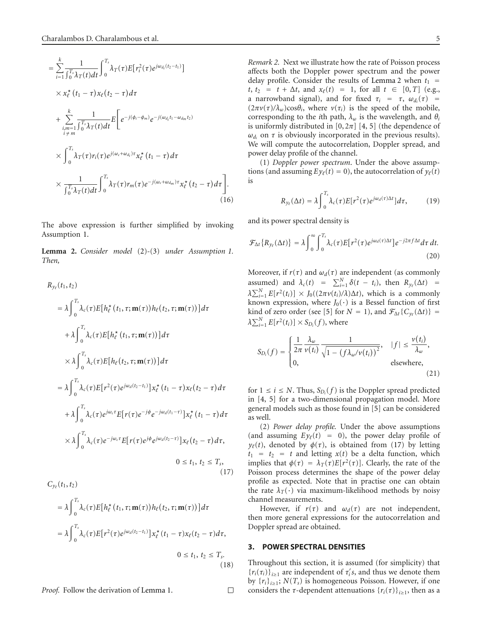$$
= \sum_{i=1}^{k} \frac{1}{\int_{0}^{T_{s}} \lambda_{T}(t)dt} \int_{0}^{T_{s}} \lambda_{T}(\tau)E[r_{i}^{2}(\tau)e^{j\omega_{d_{i}}(t_{2}-t_{1})}]
$$
  
\n
$$
\times x_{\ell}^{\star}(t_{1}-\tau)x_{\ell}(t_{2}-\tau)d\tau
$$
  
\n
$$
+ \sum_{\substack{i,m=1 \\ i \neq m}}^{k} \frac{1}{\int_{0}^{T_{s}} \lambda_{T}(t)dt} E\left[e^{-j(\phi_{i}-\phi_{m})}e^{-j(\omega_{d_{i}}t_{1}-\omega_{d_{m}}t_{2})}\right]
$$
  
\n
$$
\times \int_{0}^{T_{s}} \lambda_{T}(\tau)r_{i}(\tau)e^{j(\omega_{c}+\omega_{d_{i}})\tau}x_{\ell}^{\star}(t_{1}-\tau)d\tau
$$
  
\n
$$
\times \frac{1}{\int_{0}^{T_{s}} \lambda_{T}(t)dt} \int_{0}^{T_{s}} \lambda_{T}(\tau)r_{m}(\tau)e^{-j(\omega_{c}+\omega_{d_{m}})\tau}x_{\ell}^{\star}(t_{2}-\tau)d\tau \right].
$$
\n(16)

The above expression is further simplified by invoking Assumption 1.

**Lemma 2.** *Consider model* (2)*-*(3) *under Assumption 1. Then,*

$$
R_{y_{\ell}}(t_1, t_2)
$$
\n
$$
= \lambda \int_0^{T_s} \lambda_c(\tau) E[h_{\ell}^{\star}(t_1, \tau; \mathbf{m}(\tau)) h_{\ell}(t_2, \tau; \mathbf{m}(\tau))] d\tau
$$
\n
$$
+ \lambda \int_0^{T_s} \lambda_c(\tau) E[h_{\ell}^{\star}(t_1, \tau; \mathbf{m}(\tau))] d\tau
$$
\n
$$
\times \lambda \int_0^{T_s} \lambda_c(\tau) E[h_{\ell}(t_2, \tau; \mathbf{m}(\tau))] d\tau
$$
\n
$$
= \lambda \int_0^{T_s} \lambda_c(\tau) E[r^2(\tau) e^{j\omega_d(t_2 - t_1)}] x_{\ell}^{\star}(t_1 - \tau) x_{\ell}(t_2 - \tau) d\tau
$$
\n
$$
+ \lambda \int_0^{T_s} \lambda_c(\tau) e^{j\omega_c \tau} E[r(\tau) e^{-j\phi} e^{-j\omega_d(t_1 - \tau)}] x_{\ell}^{\star}(t_1 - \tau) d\tau
$$
\n
$$
\times \lambda \int_0^{T_s} \lambda_c(\tau) e^{-j\omega_c \tau} E[r(\tau) e^{j\phi} e^{j\omega_d(t_2 - \tau)}] x_{\ell}(t_2 - \tau) d\tau,
$$
\n
$$
0 \le t_1, t_2 \le T_s,
$$
\n(17)

$$
= \lambda \int_0^{T_s} \lambda_c(\tau) E[h_\ell^{\star}(t_1, \tau; \mathbf{m}(\tau)) h_\ell(t_2, \tau; \mathbf{m}(\tau))] d\tau
$$
  

$$
= \lambda \int_0^{T_s} \lambda_c(\tau) E[r^2(\tau) e^{j\omega_d(t_2 - t_1)}] x_\ell^{\star}(t_1 - \tau) x_\ell(t_2 - \tau) d\tau,
$$
  

$$
0 \le t_1, t_2 \le T_s.
$$
 (18)

*Proof.* Follow the derivation of Lemma 1.

*Remark 2.* Next we illustrate how the rate of Poisson process affects both the Doppler power spectrum and the power delay profile. Consider the results of Lemma 2 when  $t_1$  = *t*,  $t_2 = t + \Delta t$ , and  $x_{\ell}(t) = 1$ , for all  $t \in [0, T]$  (e.g., a narrowband signal), and for fixed  $\tau_i = \tau$ ,  $\omega_{d_i}(\tau) =$  $(2\pi\nu(\tau)/\lambda_{\omega})\cos\theta_i$ , where  $\nu(\tau_i)$  is the speed of the mobile, corresponding to the *i*th path,  $\lambda_{\omega}$  is the wavelength, and  $\theta_i$ is uniformly distributed in  $[0, 2\pi]$   $[4, 5]$  (the dependence of  $\omega_{d_i}$  on  $\tau$  is obviously incorporated in the previous results). We will compute the autocorrelation, Doppler spread, and power delay profile of the channel.

(1) *Doppler power spectrum*. Under the above assumptions (and assuming  $E y_\ell(t) = 0$ ), the autocorrelation of  $y_\ell(t)$ is

$$
R_{y_{\ell}}(\Delta t) = \lambda \int_0^{T_s} \lambda_c(\tau) E[r^2(\tau) e^{j\omega_d(\tau)\Delta t}] d\tau, \qquad (19)
$$

and its power spectral density is

*.*

 $\Box$ 

$$
\mathcal{F}_{\Delta t}\lbrace R_{y_{\ell}}(\Delta t)\rbrace = \lambda \int_0^\infty \int_0^{T_s} \lambda_c(\tau) E[r^2(\tau)e^{j\omega_d(\tau)\Delta t}] e^{-j2\pi f \Delta t} d\tau dt.
$$
\n(20)

Moreover, if  $r(\tau)$  and  $\omega_d(\tau)$  are independent (as commonly assumed) and  $\lambda_c(t) = \sum_{i=1}^{N} \delta(t - t_i)$ , then  $R_{y_\ell}(\Delta t) =$  $\lambda \sum_{i=1}^{N} E[r^2(t_i)] \times J_0((2\pi \nu(t_i)/\lambda) \Delta t)$ , which is a commonly known expression, where  $J_0(\cdot)$  is a Bessel function of first kind of zero order (see [5] for  $N = 1$ ), and  $\mathcal{F}_{\Delta t} \{ C_{y_\ell}(\Delta t) \} =$  $\lambda \sum_{i=1}^{N} E[r^2(t_i)] \times S_{D_i}(f)$ , where

$$
S_{D_i}(f) = \begin{cases} \frac{1}{2\pi} \frac{\lambda_\omega}{\nu(t_i)} \frac{1}{\sqrt{1 - (f\lambda_\omega/\nu(t_i))^2}}, & |f| \le \frac{\nu(t_i)}{\lambda_\omega}, \\ 0, & \text{elsewhere,} \end{cases} \tag{21}
$$

for  $1 \le i \le N$ . Thus,  $S_{D_i}(f)$  is the Doppler spread predicted in [4, 5] for a two-dimensional propagation model. More general models such as those found in [5] can be considered as well.

(2) *Power delay profile.* Under the above assumptions (and assuming  $E y_{\ell}(t) = 0$ ), the power delay profile of *y*<sub>*e*</sub>(*t*), denoted by  $φ(τ)$ , is obtained from (17) by letting  $t_1 = t_2 = t$  and letting  $x(t)$  be a delta function, which implies that  $\phi(\tau) = \lambda_T(\tau) E[r^2(\tau)]$ . Clearly, the rate of the Poisson process determines the shape of the power delay profile as expected. Note that in practise one can obtain the rate  $\lambda_T(\cdot)$  via maximum-likelihood methods by noisy channel measurements.

However, if  $r(\tau)$  and  $\omega_d(\tau)$  are not independent, then more general expressions for the autocorrelation and Doppler spread are obtained.

## **3. POWER SPECTRAL DENSITIES**

Throughout this section, it is assumed (for simplicity) that  ${r_i(\tau_i)}_{i \geq 1}$  are independent of  $\tau'_i s$ , and thus we denote them by  ${r_i}_{i \geq 1}$ ;  $N(T_s)$  is homogeneous Poisson. However, if one considers the *τ*-dependent attenuations  $\{r_i(\tau)\}_{i\geq 1}$ , then as a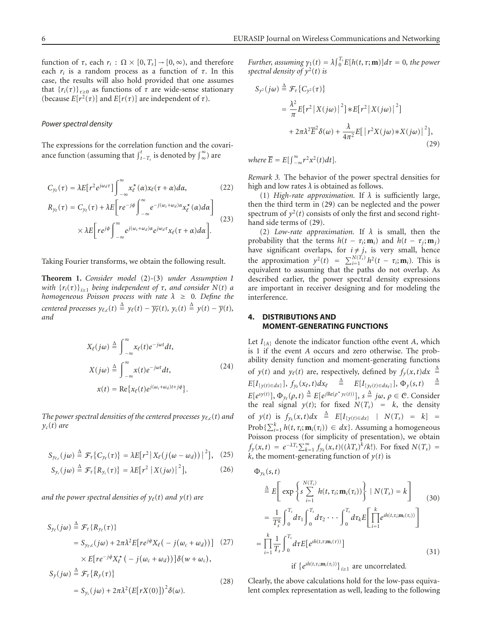function of  $\tau$ , each  $r_i$ :  $\Omega \times [0, T_s] \rightarrow [0, \infty)$ , and therefore each  $r_i$  is a random process as a function of  $\tau$ . In this case, the results will also hold provided that one assumes that  ${r_i(\tau)}_{\tau \geq 0}$  as functions of  $\tau$  are wide-sense stationary (because  $E[r^2(\tau)]$  and  $E[r(\tau)]$  are independent of  $\tau$ ).

#### *Power spectral density*

The expressions for the correlation function and the covariance function (assuming that  $\int_{t-T_s}^{t}$  is denoted by  $\int_{\infty}^{\infty}$ ) are

$$
C_{y_{\ell}}(\tau) = \lambda E[r^2 e^{j\omega_d \tau}] \int_{-\infty}^{\infty} x_{\ell}^{*}(\alpha) x_{\ell}(\tau + \alpha) d\alpha, \qquad (22)
$$

$$
R_{y_{\ell}}(\tau) = C_{y_{\ell}}(\tau) + \lambda E \bigg[ r e^{-j\phi} \int_{-\infty}^{\infty} e^{-j(\omega_c + \omega_d)\alpha} x_{\ell}^{*}(\alpha) d\alpha \bigg] \times \lambda E \bigg[ r e^{j\phi} \int_{-\infty}^{\infty} e^{j(\omega_c + \omega_d)\alpha} e^{j\omega_d \tau} x_{\ell}(\tau + \alpha) d\alpha \bigg]. \tag{23}
$$

Taking Fourier transforms, we obtain the following result.

**Theorem 1.** *Consider model* (2)*-*(3) *under Assumption 1 with*  ${r_i(\tau)}_{i \geq 1}$  *being independent of*  $\tau$ *, and consider*  $N(t)$  *a homogeneous Poisson process with rate λ* ≥ 0*. Define the centered processes*  $y_{\ell,c}(t) \triangleq y_{\ell}(t) - \overline{y_{\ell}}(t)$ ,  $y_c(t) \triangleq y(t) - \overline{y}(t)$ , *and*

$$
X_{\ell}(j\omega) \triangleq \int_{-\infty}^{\infty} x_{\ell}(t)e^{-j\omega t}dt,
$$
  
\n
$$
X(j\omega) \triangleq \int_{-\infty}^{\infty} x(t)e^{-j\omega t}dt,
$$
  
\n
$$
x(t) = \text{Re}\{x_{\ell}(t)e^{j(\omega_{c}+\omega_{d})t+j\phi}\}.
$$
\n(24)

The power spectral densities of the centered processes  $y_{\ell,c}(t)$  and  $y_c(t)$  *are* 

$$
S_{y_{\ell,c}}(j\omega) \triangleq \mathcal{F}_{\tau}\big\{C_{y_{\ell}}(\tau)\big\} = \lambda E[r^2 \big|X_{\ell}(j(\omega - \omega_d))\big|^2\big], \quad (25)
$$

$$
S_{y_c}(j\omega) \stackrel{\Delta}{=} \mathcal{F}_{\tau}\{R_{y_c}(\tau)\} = \lambda E[r^2 |X(j\omega)|^2], \qquad (26)
$$

and the power spectral densities of  $y_\ell(t)$  and  $y(t)$  are

$$
S_{y_{\ell}}(j\omega) \stackrel{\Delta}{=} \mathcal{F}_{\tau} \{R_{y_{\ell}}(\tau)\}
$$
  
\n
$$
= S_{y_{\ell},c}(j\omega) + 2\pi\lambda^2 E[r e^{j\phi} X_{\ell}(-j(\omega_c + \omega_d))] \quad (27)
$$
  
\n
$$
\times E[r e^{-j\phi} X_{\ell}^{*}(-j(\omega_c + \omega_d))] \delta(w + \omega_c),
$$
  
\n
$$
S_{y}(j\omega) \stackrel{\Delta}{=} \mathcal{F}_{\tau} \{R_{y}(\tau)\}
$$
  
\n
$$
= S_{y_{c}}(j\omega) + 2\pi\lambda^2 (E[rX(0)])^2 \delta(\omega).
$$
 (28)

*Further, assuming*  $\gamma_1(t) = \lambda \int_0^T E[h(t, \tau; \mathbf{m})] d\tau = 0$ , the power *spectral density of*  $y^2(t)$  *is* 

$$
S_{y^2}(j\omega) \stackrel{\Delta}{=} \mathcal{F}_{\tau} \{ C_{y^2}(\tau) \}
$$
  
=  $\frac{\lambda^2}{\pi} E[r^2 |X(j\omega)|^2] * E[r^2 |X(j\omega)|^2]$   
+  $2\pi \lambda^2 \overline{E}^2 \delta(\omega) + \frac{\lambda}{4\pi^2} E[|r^2 X(j\omega) * X(j\omega)|^2],$  (29)

*where*  $\overline{E} = E[\int_{-\infty}^{\infty} r^2 x^2(t) dt].$ 

*Remark 3.* The behavior of the power spectral densities for high and low rates *λ* is obtained as follows.

(1) *High-rate approximation.* If *λ* is sufficiently large, then the third term in (29) can be neglected and the power spectrum of  $y^2(t)$  consists of only the first and second righthand side terms of (29).

(2) *Low-rate approximation.* If *λ* is small, then the probability that the terms  $h(t - \tau_i; \mathbf{m}_i)$  and  $h(t - \tau_j; \mathbf{m}_j)$ have significant overlaps, for  $i \neq j$ , is very small, hence the approximation  $y^2(t) = \sum_{i=1}^{N(T_s)} h^2(t - \tau_i; \mathbf{m}_i)$ . This is equivalent to assuming that the paths do not overlap. As described earlier, the power spectral density expressions are important in receiver designing and for modeling the interference.

# **4. DISTRIBUTIONS AND MOMENT-GENERATING FUNCTIONS**

Let  $I_{\{A\}}$  denote the indicator function of the event *A*, which is 1 if the event *A* occurs and zero otherwise. The probability density function and moment-generating functions of *y*(*t*) and *y*<sub>*e*</sub>(*t*) are, respectively, defined by  $f_y(x, t)dx \triangleq$  $E[I_{\{y_{\ell}(t) \in dx\}}], f_{y_{\ell}}(x_{\ell}, t) dx_{\ell} \stackrel{\Delta}{=} E[I_{\{y_{\ell}(t) \in dx_{\ell}\}}], \Phi_{y}(s, t) \stackrel{\Delta}{=}$  $\triangleq$  $E[e^{s y(t)}], \Phi_{y_{\ell}}(\rho, t) \stackrel{\Delta}{=} E[e^{j \text{Re}(\rho^* y_{\ell}(t))}], s \stackrel{\Delta}{=} j\omega, \rho \in \mathcal{C}$ . Consider the real signal  $y(t)$ ; for fixed  $N(T_s) = k$ , the density of  $y(t)$  is  $f_{y_k}(x, t)dx \triangleq E[I_{\{y(t) \in dx\}} | N(T_s) = k] =$  $\text{Prob}\left\{\sum_{i=1}^{k} h(t, \tau_i; \mathbf{m}_i(\tau_i)) \in dx\right\}$ . Assuming a homogeneous Poisson process (for simplicity of presentation), we obtain  $f_y(x,t) = e^{-\lambda T_s} \sum_{k=1}^{\infty} f_{y_k}(x,t) ((\lambda T_s)^k / k!)$ . For fixed  $N(T_s) =$  $k$ , the moment-generating function of  $y(t)$  is

$$
\Phi_{y_k}(s, t)
$$
\n
$$
\stackrel{\Delta}{=} E\left[\exp\left\{s\sum_{i=1}^{N(T_s)} h(t, \tau_i; \mathbf{m}_i(\tau_i))\right\} \mid N(T_s) = k\right]
$$
\n
$$
= \frac{1}{T_s^k} \int_0^{T_s} d\tau_1 \int_0^{T_s} d\tau_2 \cdots \int_0^{T_s} d\tau_k E\left[\prod_{i=1}^k e^{sh(t, \tau_i; \mathbf{m}_i(\tau_i))}\right]
$$
\n
$$
= \prod_{i=1}^k \frac{1}{T_s} \int_0^{T_s} d\tau E\left[e^{sh(t, \tau_i; \mathbf{m}_i(\tau_i))}\right]
$$
\nif \$\{e^{sh(t, \tau\_i; \mathbf{m}\_i(\tau\_i))}\}\_{i \geq 1}\$ are uncorrelated.

\n(31)

Clearly, the above calculations hold for the low-pass equivalent complex representation as well, leading to the following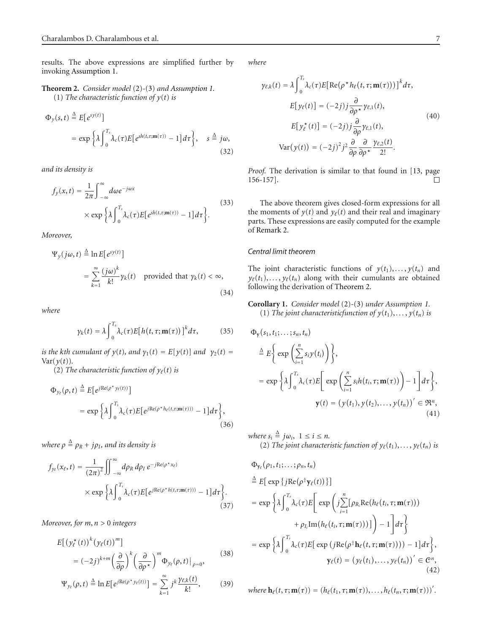results. The above expressions are simplified further by invoking Assumption 1.

# **Theorem 2.** *Consider model* (2)*-*(3) *and Assumption 1.* (1) *The characteristic function of*  $y(t)$  *is*

$$
\Phi_y(s,t) \stackrel{\Delta}{=} E[e^{sy(t)}]
$$
  
=  $\exp \left\{ \lambda \int_0^{T_s} \lambda_c(\tau) E[e^{sh(t,\tau; \mathbf{m}(\tau))} - 1] d\tau \right\}, \quad s \stackrel{\Delta}{=} j\omega,$  (32)

*and its density is*

$$
f_y(x,t) = \frac{1}{2\pi} \int_{-\infty}^{\infty} d\omega e^{-j\omega x}
$$
  
 
$$
\times \exp \left\{ \lambda \int_{0}^{T_s} \lambda_c(\tau) E[e^{sh(t,\tau;\mathbf{m}(\tau))} - 1] d\tau \right\}.
$$
 (33)

*Moreover,*

$$
\Psi_{y}(j\omega, t) \stackrel{\Delta}{=} \ln E[e^{sy(t)}]
$$
  
= 
$$
\sum_{k=1}^{\infty} \frac{(j\omega)^{k}}{k!} \gamma_{k}(t) \text{ provided that } \gamma_{k}(t) < \infty,
$$
 (34)

*where*

$$
\gamma_k(t) = \lambda \int_0^{T_s} \lambda_c(\tau) E[h(t, \tau; \mathbf{m}(\tau))]^k d\tau,
$$
 (35)

*is the kth cumulant of*  $y(t)$ *, and*  $y_1(t) = E[y(t)]$  *and*  $y_2(t) =$  $Var(y(t))$ .

(2) The characteristic function of  $y_{\ell}(t)$  is

$$
\Phi_{y_{\ell}}(\rho, t) \triangleq E[e^{j \text{Re}(\rho^* y_{\ell}(t))}]
$$
  
= 
$$
\exp \left\{ \lambda \int_0^{T_s} \lambda_c(\tau) E[e^{j \text{Re}(\rho^* h_{\ell}(t, \tau; \mathbf{m}(\tau)))} - 1] d\tau \right\},
$$
(36)

where  $\rho \triangleq \rho_R + j \rho_I$ , and its density is

$$
f_{y_{\ell}}(x_{\ell},t) = \frac{1}{(2\pi)^2} \iint_{-\infty}^{\infty} d\rho_R d\rho_I e^{-j\text{Re}(\rho^*x_{\ell})}
$$
  
 
$$
\times \exp\left\{\lambda \int_{0}^{T_s} \lambda_c(\tau) E[e^{j\text{Re}(\rho^*h(t,\tau;\mathbf{m}(\tau)))} - 1] d\tau\right\}.
$$
 (37)

*Moreover, for m*, *n >* 0 *integers*

$$
E[(y_{\ell}^*(t))^k (y_{\ell}(t))^m]
$$
  
=  $(-2j)^{k+m} \left(\frac{\partial}{\partial \rho}\right)^k \left(\frac{\partial}{\partial \rho^*}\right)^m \Phi_{y_{\ell}}(\rho, t)|_{\rho=0},$  (38)

$$
\Psi_{y_{\ell}}(\rho, t) \stackrel{\Delta}{=} \ln E[e^{j \text{Re}(\rho^* y_{\ell}(t))}] = \sum_{k=1}^{\infty} j^k \frac{\gamma_{\ell,k}(t)}{k!},
$$
 (39)

*where*

$$
\gamma_{\ell,k}(t) = \lambda \int_0^{T_s} \lambda_c(\tau) E[\text{Re}(\rho^* h_{\ell}(t, \tau; \mathbf{m}(\tau)))]^k d\tau,
$$
  
\n
$$
E[\gamma_{\ell}(t)] = (-2j) j \frac{\partial}{\partial \rho^*} \gamma_{\ell,1}(t),
$$
  
\n
$$
E[\gamma_{\ell}^*(t)] = (-2j) j \frac{\partial}{\partial \rho} \gamma_{\ell,1}(t),
$$
  
\n
$$
\text{Var}(\gamma(t)) = (-2j)^2 j^2 \frac{\partial}{\partial \rho} \frac{\partial}{\partial \rho^*} \frac{\gamma_{\ell,2}(t)}{2!}.
$$
\n(40)

*Proof.* The derivation is similar to that found in [13, page 156-157].  $\Box$ 

The above theorem gives closed-form expressions for all the moments of  $y(t)$  and  $y_{\ell}(t)$  and their real and imaginary parts. These expressions are easily computed for the example of Remark 2.

# *Central limit theorem*

The joint characteristic functions of  $y(t_1), \ldots, y(t_n)$  and  $y_{\ell}(t_1), \ldots, y_{\ell}(t_n)$  along with their cumulants are obtained following the derivation of Theorem 2.

## **Corollary 1.** *Consider model* (2)*-*(3) *under Assumption 1.* (1) *The joint characteristicfunction of*  $y(t_1), \ldots, y(t_n)$  *is*

$$
\Phi_{\mathbf{y}}(s_1, t_1; \dots; s_n, t_n)
$$
\n
$$
\stackrel{\Delta}{=} E \Big\{ \exp \Big( \sum_{i=1}^n s_i y(t_i) \Big) \Big\},
$$
\n
$$
= \exp \Big\{ \lambda \int_0^{T_s} \lambda_c(\tau) E \Big[ \exp \Big( \sum_{i=1}^n s_i h(t_i, \tau; \mathbf{m}(\tau)) \Big) - 1 \Big] d\tau \Big\},
$$
\n
$$
\mathbf{y}(t) = (y(t_1), y(t_2), \dots, y(t_n))' \in \mathfrak{R}^n,
$$
\n(41)

*where*  $s_i \triangleq j\omega_i$ ,  $1 \leq i \leq n$ . (2) *The joint characteristic function of*  $y_{\ell}(t_1), \ldots, y_{\ell}(t_n)$  *is* 

$$
\Phi_{\gamma_{\ell}}(\rho_{1}, t_{1}; \ldots; \rho_{n}, t_{n})
$$
\n
$$
\stackrel{\Delta}{=} E[\exp\{j \text{Re}(\rho^{\dagger} \gamma_{\ell}(t))\}]
$$
\n
$$
= \exp\{\lambda \int_{0}^{T_{s}} \lambda_{c}(\tau) E\left[\exp\left(j \sum_{i=1}^{n} [\rho_{R_{i}} \text{Re}(h_{\ell}(t_{i}, \tau; \mathbf{m}(\tau)))\right.\right.\\
\left. + \rho_{I_{i}} \text{Im}(h_{\ell}(t_{i}, \tau; \mathbf{m}(\tau)))\right]\right) - 1\left] d\tau \right\}
$$
\n
$$
= \exp\{\lambda \int_{0}^{T_{s}} \lambda_{c}(\tau) E[\exp(j \text{Re}(\rho^{\dagger} \mathbf{h}_{\ell}(t, \tau; \mathbf{m}(\tau)))) - 1] d\tau \},
$$
\n
$$
\gamma_{\ell}(t) = (\gamma_{\ell}(t_{1}), \ldots, \gamma_{\ell}(t_{n}))' \in \mathcal{C}^{n},
$$
\n(42)

where 
$$
\mathbf{h}_{\ell}(t, \tau; \mathbf{m}(\tau)) = (h_{\ell}(t_1, \tau; \mathbf{m}(\tau)), \ldots, h_{\ell}(t_n, \tau; \mathbf{m}(\tau)))'
$$
.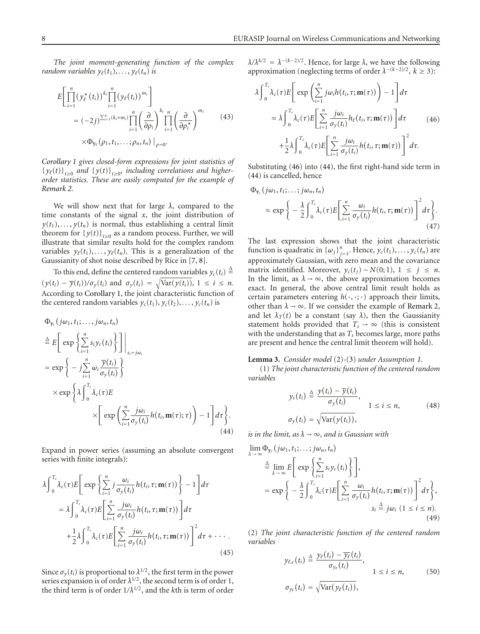*The joint moment-generating function of the complex random variables*  $y_{\ell}(t_1), \ldots, y_{\ell}(t_n)$  *is* 

$$
E\left[\prod_{i=1}^{n}(\gamma_{\ell}^{*}(t_{i}))^{k_{i}}\prod_{i=1}^{n}(\gamma_{\ell}(t_{i}))^{m_{i}}\right]
$$
  
\n
$$
=(-2j)^{\sum_{i=1}^{n}(k_{i}+m_{i})}\prod_{i=1}^{n}\left(\frac{\partial}{\partial\rho_{i}}\right)^{k_{i}}\prod_{i=1}^{n}\left(\frac{\partial}{\partial\rho_{i}^{*}}\right)^{m_{i}} \qquad (43)
$$
  
\n
$$
\times\Phi_{\gamma_{\ell}}(\rho_{1},t_{1},\ldots;\rho_{n},t_{n})|_{\rho=0}.
$$

*Corollary 1 gives closed-form expressions for joint statistics of*  ${y_{\ell}(t)}_{t\geq0}$  and  ${y(t)}_{t\geq0}$ , including correlations and higher*order statistics. These are easily computed for the example of Remark 2.*

We will show next that for large *λ*, compared to the time constants of the signal  $x$ , the joint distribution of  $y(t_1), \ldots, y(t_n)$  is normal, thus establishing a central limit theorem for  ${y(t)}_{t>0}$  as a random process. Further, we will illustrate that similar results hold for the complex random variables  $y_{\ell}(t_1), \ldots, y_{\ell}(t_n)$ . This is a generalization of the Gaussianity of shot noise described by Rice in [7, 8].

To this end, define the centered random variables  $y_c(t_i) \triangleq$  $(y(t_i) - \overline{y}(t_i))/\sigma_y(t_i)$  and  $\sigma_y(t_i) = \sqrt{\text{Var}(y(t_i))}, 1 \le i \le n$ . According to Corollary 1, the joint characteristic function of the centered random variables  $y_c(t_1), y_c(t_2), \ldots, y_c(t_n)$  is

$$
\Phi_{y_c}(j\omega_1, t_1; \dots, j\omega_n, t_n)
$$
\n
$$
\stackrel{\Delta}{=} E\bigg[ \exp\bigg\{\sum_{i=1}^n s_i y_c(t_i)\bigg\}\bigg]\bigg|_{s_i=j\omega_i}
$$
\n
$$
= \exp\bigg\{-j\sum_{i=1}^n \omega_i \frac{\overline{y}(t_i)}{\sigma_y(t_i)}\bigg\}
$$
\n
$$
\times \exp\bigg\{\lambda \int_0^{T_s} \lambda_c(\tau) E \bigg\}
$$
\n
$$
\times \bigg[ \exp\bigg(\sum_{i=1}^n \frac{j\omega_i}{\sigma_y(t_i)} h(t_i, \mathbf{m}(\tau); \tau)\bigg) - 1 \bigg] d\tau \bigg\}.
$$
\n(44)

Expand in power series (assuming an absolute convergent series with finite integrals):

$$
\lambda \int_0^{T_s} \lambda_c(\tau) E\left[\exp\left\{\sum_{i=1}^n j \frac{\omega_i}{\sigma_y(t_i)} h(t_i, \tau; \mathbf{m}(\tau))\right\} - 1\right] d\tau
$$
  
\n
$$
= \lambda \int_0^{T_s} \lambda_c(\tau) E\left[\sum_{i=1}^n \frac{j\omega_i}{\sigma_y(t_i)} h(t_i, \tau; \mathbf{m}(\tau))\right] d\tau
$$
  
\n
$$
+ \frac{1}{2} \lambda \int_0^{T_s} \lambda_c(\tau) E\left[\sum_{i=1}^n \frac{j\omega_i}{\sigma_y(t_i)} h(t_i, \tau; \mathbf{m}(\tau))\right]^2 d\tau + \cdots
$$
\n(45)

Since  $\sigma_v(t_i)$  is proportional to  $\lambda^{1/2}$ , the first term in the power series expansion is of order  $\lambda^{1/2}$ , the second term is of order 1, the third term is of order  $1/\lambda^{1/2}$ , and the *k*th is term of order  $λ/λ<sup>k/2</sup> = λ<sup>-(k-2)/2</sup>$ . Hence, for large  $λ$ , we have the following approximation (neglecting terms of order  $\lambda^{-(k-2)/2}$ ,  $k \ge 3$ ):

$$
\lambda \int_{0}^{T_s} \lambda_c(\tau) E\left[\exp\left(\sum_{i=1}^{n} j\omega_i h(t_i, \tau; \mathbf{m}(\tau))\right) - 1\right] d\tau
$$
  

$$
\approx \lambda \int_{0}^{T_s} \lambda_c(\tau) E\left[\sum_{i=1}^{n} \frac{j\omega_i}{\sigma_y(t_i)} h_\ell(t_i, \tau; \mathbf{m}(\tau))\right] d\tau
$$
  

$$
+ \frac{1}{2} \lambda \int_{0}^{T_s} \lambda_c(\tau) E\left[\sum_{i=1}^{n} \frac{j\omega_i}{\sigma_y(t_i)} h(t_i, \tau; \mathbf{m}(\tau))\right]^2 d\tau.
$$
 (46)

Substituting (46) into (44), the first right-hand side term in (44) is cancelled, hence

$$
\Phi_{\gamma_c}(j\omega_1, t_1; \dots; j\omega_n, t_n) \approx \exp \bigg\{ -\frac{\lambda}{2} \int_0^{T_s} \lambda_c(\tau) E\bigg[ \sum_{i=1}^n \frac{\omega_i}{\sigma_y(t_i)} h(t_i, \tau; \mathbf{m}(\tau)) \bigg]^2 d\tau \bigg\}.
$$
\n(47)

The last expression shows that the joint characteristic function is quadratic in  $\{\omega_j\}_{j=1}^n$ . Hence,  $y_c(t_1), \ldots, y_c(t_n)$  are approximately Gaussian, with zero mean and the covariance matrix identified. Moreover,  $y_c(t_i) \sim N(0; 1)$ , 1 ≤ *j* ≤ *n*. In the limit, as  $\lambda \rightarrow \infty$ , the above approximation becomes exact. In general, the above central limit result holds as certain parameters entering  $h(\cdot, \cdot; \cdot)$  approach their limits, other than  $\lambda \rightarrow \infty$ . If we consider the example of Remark 2, and let  $\lambda_T(t)$  be a constant (say  $\lambda$ ), then the Gaussianity statement holds provided that  $T_s \rightarrow \infty$  (this is consistent with the understanding that as  $T_s$  becomes large, more paths are present and hence the central limit theorem will hold).

# **Lemma 3.** *Consider model* (2)*-*(3) *under Assumption 1.*

(1) *The joint characteristic function of the centered random variables*

$$
y_c(t_i) \triangleq \frac{y(t_i) - \overline{y}(t_i)}{\sigma_y(t_i)},
$$
  
\n
$$
\sigma_y(t_i) = \sqrt{\text{Var}(y(t_i))},
$$
  
\n
$$
(48)
$$

*is in the limit, as*  $\lambda \rightarrow \infty$ *, and is Gaussian with* 

$$
\lim_{\lambda \to \infty} \Phi_{\gamma_c}(j\omega_1, t_1; \dots; j\omega_n, t_n)
$$
\n
$$
\stackrel{\Delta}{=} \lim_{\lambda \to \infty} E \left[ \exp \left\{ \sum_{i=1}^n s_i y_c(t_i) \right\} \right],
$$
\n
$$
= \exp \left\{ -\frac{\lambda}{2} \int_0^{T_s} \lambda_c(\tau) E \left[ \sum_{i=1}^n \frac{\omega_i}{\sigma_y(t_i)} h(t_i, \tau; \mathbf{m}(\tau)) \right]^2 d\tau \right\},
$$
\n
$$
s_i \stackrel{\Delta}{=} j\omega_i \ (1 \le i \le n).
$$
\n(49)

(2) *The joint characteristic function of the centered random variables*

$$
y_{\ell,c}(t_i) \triangleq \frac{y_{\ell}(t_i) - \overline{y_{\ell}}(t_i)}{\sigma_{y_{\ell}}(t_i)},
$$
  
\n
$$
\sigma_{y_{\ell}}(t_i) = \sqrt{\text{Var}(y_{\ell}(t_i))},
$$
  
\n
$$
(50)
$$